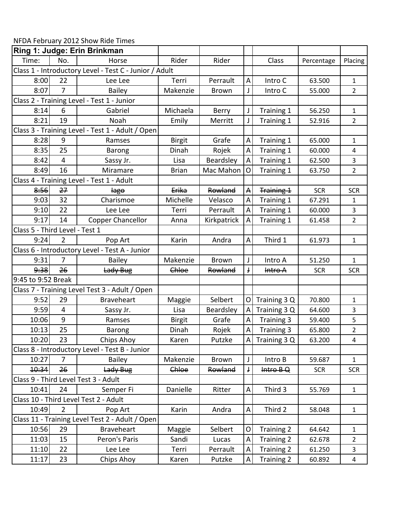NFDA February 2012 Show Ride Times

|                                |                | Ring 1: Judge: Erin Brinkman                           |               |              |                           |                             |            |                |
|--------------------------------|----------------|--------------------------------------------------------|---------------|--------------|---------------------------|-----------------------------|------------|----------------|
| Time:                          | No.            | Horse                                                  | Rider         | Rider        |                           | Class                       | Percentage | Placing        |
|                                |                | Class 1 - Introductory Level - Test C - Junior / Adult |               |              |                           |                             |            |                |
| 8:00                           | 22             | Lee Lee                                                | Terri         | Perrault     | A                         | Intro C                     | 63.500     | $\mathbf{1}$   |
| 8:07                           | $\overline{7}$ | <b>Bailey</b>                                          | Makenzie      | Brown        | $\mathbf{J}$              | Intro C                     | 55.000     | $\overline{2}$ |
|                                |                | Class 2 - Training Level - Test 1 - Junior             |               |              |                           |                             |            |                |
| 8:14                           | 6              | Gabriel                                                | Michaela      | Berry        | J                         | Training 1                  | 56.250     | $\mathbf{1}$   |
| 8:21                           | 19             | Noah                                                   | Emily         | Merritt      | J                         | Training 1                  | 52.916     | $\overline{2}$ |
|                                |                | Class 3 - Training Level - Test 1 - Adult / Open       |               |              |                           |                             |            |                |
| 8:28                           | 9              | Ramses                                                 | <b>Birgit</b> | Grafe        | A                         | Training 1                  | 65.000     | 1              |
| 8:35                           | 25             | Barong                                                 | Dinah         | Rojek        | A                         | Training 1                  | 60.000     | $\overline{4}$ |
| 8:42                           | $\overline{4}$ | Sassy Jr.                                              | Lisa          | Beardsley    | A                         | Training 1                  | 62.500     | 3              |
| 8:49                           | 16             | Miramare                                               | <b>Brian</b>  | Mac Mahon    | O                         | Training 1                  | 63.750     | $\overline{2}$ |
|                                |                | Class 4 - Training Level - Test 1 - Adult              |               |              |                           |                             |            |                |
| 8:56                           | 27             | <del>lago</del>                                        | Erika         | Rowland      | $\boldsymbol{\mathsf{A}}$ | <b>Training 1</b>           | <b>SCR</b> | <b>SCR</b>     |
| 9:03                           | 32             | Charismoe                                              | Michelle      | Velasco      | A                         | Training 1                  | 67.291     | 1              |
| 9:10                           | 22             | Lee Lee                                                | Terri         | Perrault     | A                         | Training 1                  | 60.000     | 3              |
| 9:17                           | 14             | <b>Copper Chancellor</b>                               | Anna          | Kirkpatrick  | A                         | Training 1                  | 61.458     | $\overline{2}$ |
| Class 5 - Third Level - Test 1 |                |                                                        |               |              |                           |                             |            |                |
| 9:24                           | $\overline{2}$ | Pop Art                                                | Karin         | Andra        | A                         | Third 1                     | 61.973     | $\mathbf{1}$   |
|                                |                | Class 6 - Introductory Level - Test A - Junior         |               |              |                           |                             |            |                |
| 9:31                           | 7              | <b>Bailey</b>                                          | Makenzie      | <b>Brown</b> | J                         | Intro A                     | 51.250     | $\mathbf{1}$   |
| 9:38                           | 26             | Lady Bug                                               | Chloe         | Rowland      |                           | Intro A                     | <b>SCR</b> | <b>SCR</b>     |
| 9:45 to 9:52 Break             |                |                                                        |               |              |                           |                             |            |                |
|                                |                | Class 7 - Training Level Test 3 - Adult / Open         |               |              |                           |                             |            |                |
| 9:52                           | 29             | <b>Braveheart</b>                                      | Maggie        | Selbert      | O                         | Training 3 Q                | 70.800     | 1              |
| 9:59                           | 4              | Sassy Jr.                                              | Lisa          | Beardsley    | $\overline{A}$            | Training 3 Q                | 64.600     | 3              |
| 10:06                          | 9              | Ramses                                                 | <b>Birgit</b> | Grafe        | $\boldsymbol{\mathsf{A}}$ | Training 3                  | 59.400     | 5              |
| 10:13                          | 25             | Barong                                                 | Dinah         | Rojek        | A                         | Training 3                  | 65.800     | $\overline{2}$ |
| 10:20                          | 23             | Chips Ahoy                                             | Karen         | Putzke       |                           | $\overline{A}$ Training 3 Q | 63.200     | 4              |
|                                |                | Class 8 - Introductory Level - Test B - Junior         |               |              |                           |                             |            |                |
| 10:27                          | $\overline{7}$ | <b>Bailey</b>                                          | Makenzie      | Brown        | J                         | Intro B                     | 59.687     | $\mathbf{1}$   |
| 10:34                          | 26             | Lady Bug                                               | Chloe         | Rowland      | Ť                         | Intro B Q                   | <b>SCR</b> | <b>SCR</b>     |
|                                |                | Class 9 - Third Level Test 3 - Adult                   |               |              |                           |                             |            |                |
| 10:41                          | 24             | Semper Fi                                              | Danielle      | Ritter       | A                         | Third 3                     | 55.769     | $\mathbf{1}$   |
|                                |                | Class 10 - Third Level Test 2 - Adult                  |               |              |                           |                             |            |                |
| 10:49                          | $\overline{2}$ | Pop Art                                                | Karin         | Andra        | A                         | Third 2                     | 58.048     | $\mathbf{1}$   |
|                                |                | Class 11 - Training Level Test 2 - Adult / Open        |               |              |                           |                             |            |                |
| 10:56                          | 29             | <b>Braveheart</b>                                      | Maggie        | Selbert      | O                         | Training 2                  | 64.642     | $\mathbf{1}$   |
| 11:03                          | 15             | Peron's Paris                                          | Sandi         | Lucas        | A                         | <b>Training 2</b>           | 62.678     | 2              |
| 11:10                          | 22             | Lee Lee                                                | Terri         | Perrault     | A                         | Training 2                  | 61.250     | 3              |
| 11:17                          | 23             | Chips Ahoy                                             | Karen         | Putzke       | A                         | Training 2                  | 60.892     | $\overline{4}$ |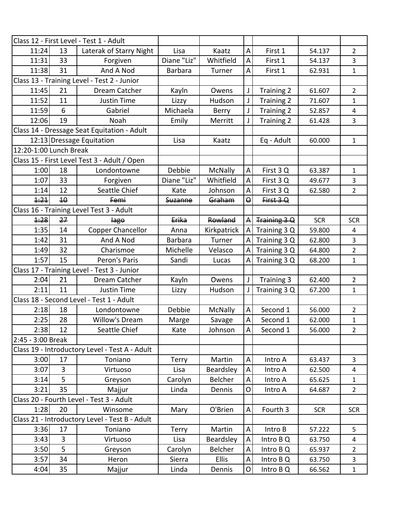|                                                |    | Class 12 - First Level - Test 1 - Adult        |                |              |                         |                   |            |                |
|------------------------------------------------|----|------------------------------------------------|----------------|--------------|-------------------------|-------------------|------------|----------------|
| 11:24                                          | 13 | Laterak of Starry Night                        | Lisa           | Kaatz        | A                       | First 1           | 54.137     | $\overline{2}$ |
| 11:31                                          | 33 | Forgiven                                       | Diane "Liz"    | Whitfield    | A                       | First 1<br>54.137 |            | $\overline{3}$ |
| 11:38                                          | 31 | And A Nod                                      | <b>Barbara</b> | Turner       | A                       | First 1           | 62.931     | $\mathbf{1}$   |
|                                                |    | Class 13 - Training Level - Test 2 - Junior    |                |              |                         |                   |            |                |
| 11:45                                          | 21 | Dream Catcher                                  | Kayln          | Owens        | J                       | Training 2        | 61.607     | $\overline{2}$ |
| 11:52                                          | 11 | <b>Justin Time</b>                             | Lizzy          | Hudson       | J                       | Training 2        | 71.607     | $\mathbf{1}$   |
| 11:59                                          | 6  | Gabriel                                        | Michaela       | Berry        | J                       | Training 2        | 52.857     | 4              |
| 12:06                                          | 19 | Noah                                           | Emily          | Merritt      | J                       | Training 2        | 61.428     | 3              |
|                                                |    | Class 14 - Dressage Seat Equitation - Adult    |                |              |                         |                   |            |                |
|                                                |    | 12:13 Dressage Equitation                      | Lisa           | Kaatz        |                         | Eq - Adult        | 60.000     | $\mathbf{1}$   |
| 12:20-1:00 Lunch Break                         |    |                                                |                |              |                         |                   |            |                |
|                                                |    | Class 15 - First Level Test 3 - Adult / Open   |                |              |                         |                   |            |                |
| 1:00                                           | 18 | Londontowne                                    | Debbie         | McNally      | $\overline{A}$          | First 3Q          | 63.387     | $\mathbf{1}$   |
| 1:07                                           | 33 | Forgiven                                       | Diane "Liz"    | Whitfield    | A                       | First 3Q          | 49.677     | 3              |
| 1:14                                           | 12 | Seattle Chief                                  | Kate           | Johnson      | $\overline{A}$          | First 3Q          | 62.580     | $\overline{2}$ |
| 1:21                                           | 40 | Femi                                           | Suzanne        | Graham       | $\Theta$                | First 3 Q         |            |                |
|                                                |    | Class 16 - Training Level Test 3 - Adult       |                |              |                         |                   |            |                |
| 1:28                                           | 27 | <b>lago</b>                                    | Erika          | Rowland      |                         | Training 3 Q      | <b>SCR</b> | <b>SCR</b>     |
| 1:35                                           | 14 | <b>Copper Chancellor</b>                       | Anna           | Kirkpatrick  | $\overline{A}$          | Training 3 Q      | 59.800     | $\overline{4}$ |
| 1:42                                           | 31 | And A Nod                                      | <b>Barbara</b> | Turner       | $\overline{A}$          | Training 3 Q      | 62.800     | 3              |
| 1:49                                           | 32 | Charismoe                                      | Michelle       | Velasco      | A                       | Training 3 Q      | 64.800     | $\overline{2}$ |
| 1:57                                           | 15 | Peron's Paris                                  | Sandi          | Lucas        | A                       | Training 3 Q      | 68.200     | $\mathbf{1}$   |
| Class 17 - Training Level - Test 3 - Junior    |    |                                                |                |              |                         |                   |            |                |
| 2:04                                           | 21 | Dream Catcher                                  | Kayln          | Owens        | J                       | Training 3        | 62.400     | $\overline{2}$ |
| 2:11                                           | 11 | <b>Justin Time</b>                             | Lizzy          | Hudson       |                         | Training 3 Q      | 67.200     | $\mathbf{1}$   |
|                                                |    | Class 18 - Second Level - Test 1 - Adult       |                |              |                         |                   |            |                |
| 2:18                                           | 18 | Londontowne                                    | Debbie         | McNally      | $\overline{\mathsf{A}}$ | Second 1          | 56.000     | $\overline{2}$ |
| 2:25                                           | 28 | Willow's Dream                                 | Marge          | Savage       | A                       | Second 1          | 62.000     | $\mathbf{1}$   |
| 2:38                                           | 12 | Seattle Chief                                  | Kate           | Johnson      | $\mathsf{A}$            | Second 1          | 56.000     | 2              |
| 2:45 - 3:00 Break                              |    |                                                |                |              |                         |                   |            |                |
|                                                |    | Class 19 - Introductory Level - Test A - Adult |                |              |                         |                   |            |                |
| 3:00                                           | 17 | Toniano                                        | Terry          | Martin       | A                       | Intro A           | 63.437     | $\overline{3}$ |
| 3:07                                           | 3  | Virtuoso                                       | Lisa           | Beardsley    | A                       | Intro A           | 62.500     | 4              |
| 3:14                                           | 5  | Greyson                                        | Carolyn        | Belcher      | A                       | Intro A           | 65.625     | $\mathbf{1}$   |
| 3:21                                           | 35 | Majjur                                         | Linda          | Dennis       | $\mathsf{O}$            | Intro A           | 64.687     | $\overline{2}$ |
|                                                |    | Class 20 - Fourth Level - Test 3 - Adult       |                |              |                         |                   |            |                |
| 1:28                                           | 20 | Winsome                                        | Mary           | O'Brien      | A                       | Fourth 3          | <b>SCR</b> | <b>SCR</b>     |
| Class 21 - Introductory Level - Test B - Adult |    |                                                |                |              |                         |                   |            |                |
| 3:36                                           | 17 | Toniano                                        | Terry          | Martin       | A                       | Intro B           | 57.222     | 5              |
| 3:43                                           | 3  | Virtuoso                                       | Lisa           | Beardsley    | $\sf A$                 | Intro B Q         | 63.750     | 4              |
| 3:50                                           | 5  | Greyson                                        | Carolyn        | Belcher      | A                       | Intro B Q         | 65.937     | $\overline{2}$ |
| 3:57                                           | 34 | Heron                                          | Sierra         | <b>Ellis</b> | A                       | Intro B Q         | 63.750     | 3              |
| 4:04                                           | 35 | Majjur                                         | Linda          | Dennis       | $\mathsf O$             | Intro B Q         | 66.562     | $\mathbf{1}$   |